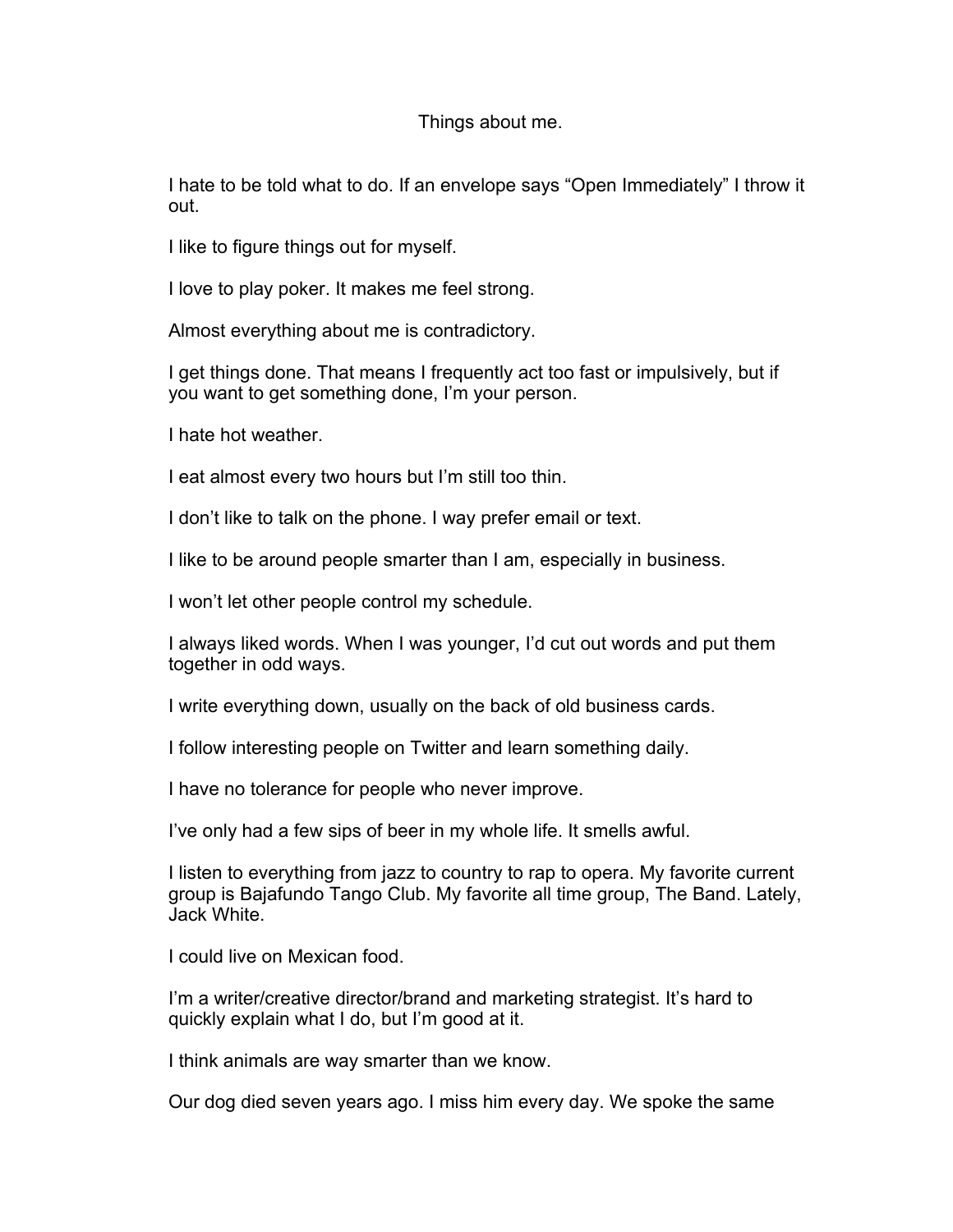## Things about me.

I hate to be told what to do. If an envelope says "Open Immediately" I throw it out.

I like to figure things out for myself.

I love to play poker. It makes me feel strong.

Almost everything about me is contradictory.

I get things done. That means I frequently act too fast or impulsively, but if you want to get something done, I'm your person.

I hate hot weather.

I eat almost every two hours but I'm still too thin.

I don't like to talk on the phone. I way prefer email or text.

I like to be around people smarter than I am, especially in business.

I won't let other people control my schedule.

I always liked words. When I was younger, I'd cut out words and put them together in odd ways.

I write everything down, usually on the back of old business cards.

I follow interesting people on Twitter and learn something daily.

I have no tolerance for people who never improve.

I've only had a few sips of beer in my whole life. It smells awful.

I listen to everything from jazz to country to rap to opera. My favorite current group is Bajafundo Tango Club. My favorite all time group, The Band. Lately, Jack White.

I could live on Mexican food.

I'm a writer/creative director/brand and marketing strategist. It's hard to quickly explain what I do, but I'm good at it.

I think animals are way smarter than we know.

Our dog died seven years ago. I miss him every day. We spoke the same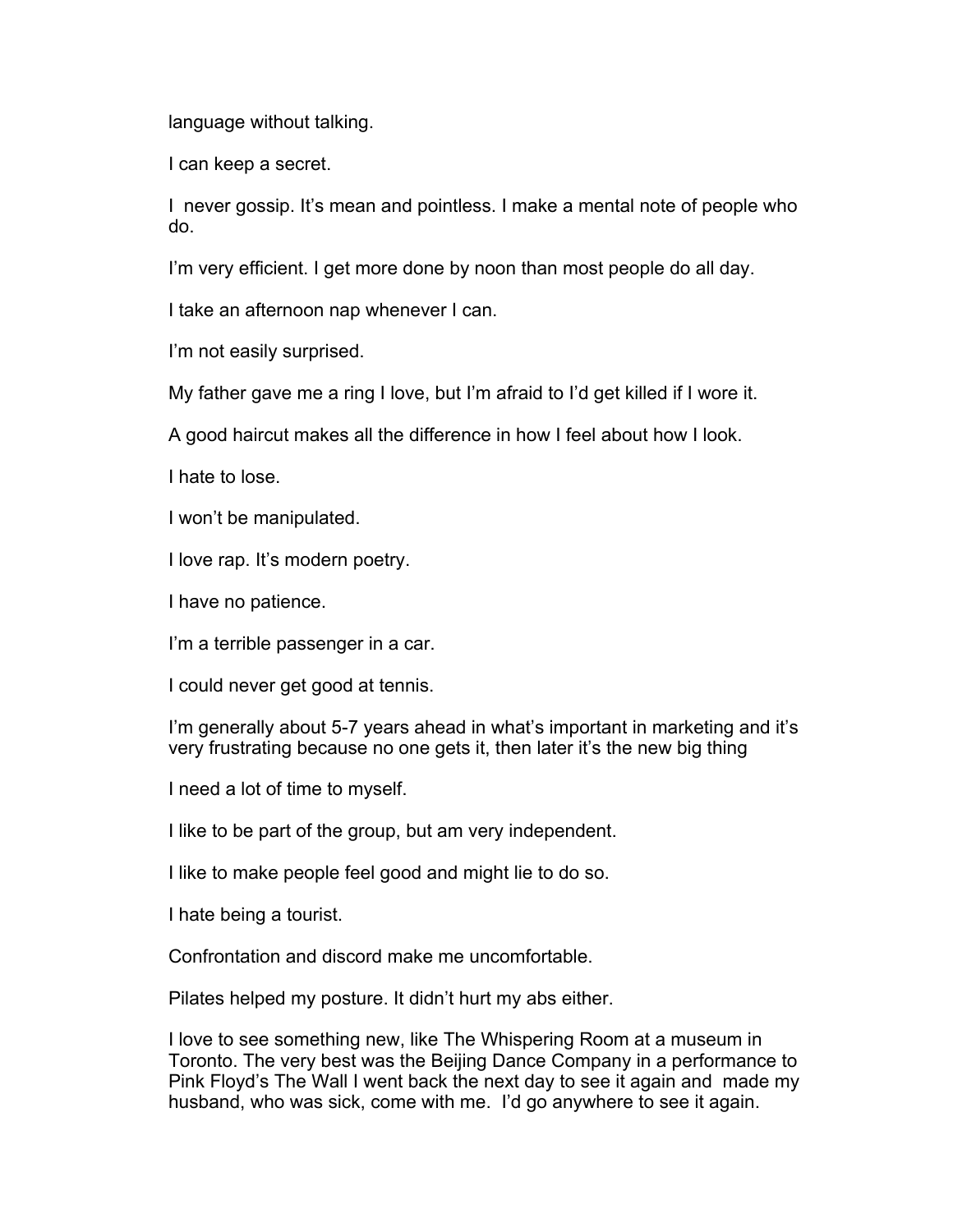language without talking.

I can keep a secret.

I never gossip. It's mean and pointless. I make a mental note of people who do.

I'm very efficient. I get more done by noon than most people do all day.

I take an afternoon nap whenever I can.

I'm not easily surprised.

My father gave me a ring I love, but I'm afraid to I'd get killed if I wore it.

A good haircut makes all the difference in how I feel about how I look.

I hate to lose.

I won't be manipulated.

I love rap. It's modern poetry.

I have no patience.

I'm a terrible passenger in a car.

I could never get good at tennis.

I'm generally about 5-7 years ahead in what's important in marketing and it's very frustrating because no one gets it, then later it's the new big thing

I need a lot of time to myself.

I like to be part of the group, but am very independent.

I like to make people feel good and might lie to do so.

I hate being a tourist.

Confrontation and discord make me uncomfortable.

Pilates helped my posture. It didn't hurt my abs either.

I love to see something new, like The Whispering Room at a museum in Toronto. The very best was the Beijing Dance Company in a performance to Pink Floyd's The Wall I went back the next day to see it again and made my husband, who was sick, come with me. I'd go anywhere to see it again.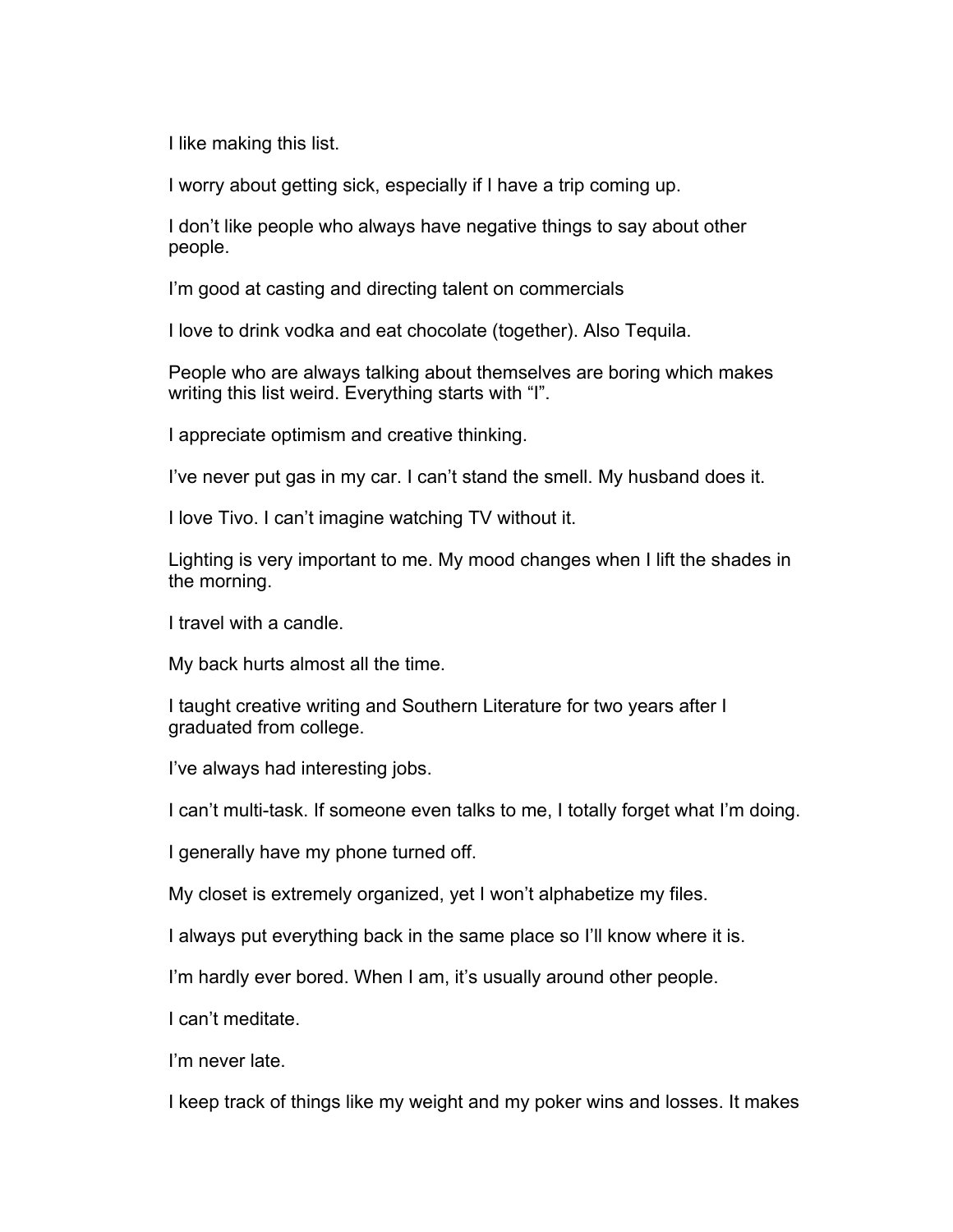I like making this list.

I worry about getting sick, especially if I have a trip coming up.

I don't like people who always have negative things to say about other people.

I'm good at casting and directing talent on commercials

I love to drink vodka and eat chocolate (together). Also Tequila.

People who are always talking about themselves are boring which makes writing this list weird. Everything starts with "I".

I appreciate optimism and creative thinking.

I've never put gas in my car. I can't stand the smell. My husband does it.

I love Tivo. I can't imagine watching TV without it.

Lighting is very important to me. My mood changes when I lift the shades in the morning.

I travel with a candle.

My back hurts almost all the time.

I taught creative writing and Southern Literature for two years after I graduated from college.

I've always had interesting jobs.

I can't multi-task. If someone even talks to me, I totally forget what I'm doing.

I generally have my phone turned off.

My closet is extremely organized, yet I won't alphabetize my files.

I always put everything back in the same place so I'll know where it is.

I'm hardly ever bored. When I am, it's usually around other people.

I can't meditate.

I'm never late.

I keep track of things like my weight and my poker wins and losses. It makes